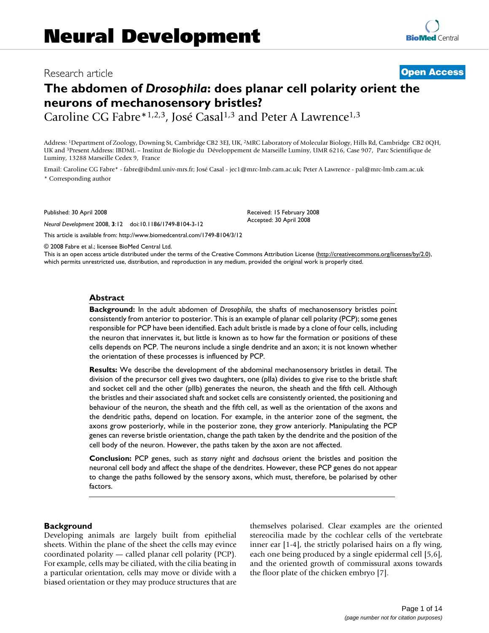## Research article **[Open Access](http://www.biomedcentral.com/info/about/charter/)**

# **The abdomen of** *Drosophila***: does planar cell polarity orient the neurons of mechanosensory bristles?**

Caroline CG Fabre\*1,2,3, José Casal<sup>1,3</sup> and Peter A Lawrence<sup>1,3</sup>

Address: 1Department of Zoology, Downing St, Cambridge CB2 3EJ, UK, 2MRC Laboratory of Molecular Biology, Hills Rd, Cambridge CB2 0QH, UK and 3Present Address: IBDML – Institut de Biologie du Développement de Marseille Luminy, UMR 6216, Case 907, Parc Scientifique de Luminy, 13288 Marseille Cedex 9, France

> Received: 15 February 2008 Accepted: 30 April 2008

Email: Caroline CG Fabre\* - fabre@ibdml.univ-mrs.fr; José Casal - jec1@mrc-lmb.cam.ac.uk; Peter A Lawrence - pal@mrc-lmb.cam.ac.uk \* Corresponding author

Published: 30 April 2008

*Neural Development* 2008, **3**:12 doi:10.1186/1749-8104-3-12

[This article is available from: http://www.biomedcentral.com/1749-8104/3/12](http://www.biomedcentral.com/1749-8104/3/12)

© 2008 Fabre et al.; licensee BioMed Central Ltd.

This is an open access article distributed under the terms of the Creative Commons Attribution License [\(http://creativecommons.org/licenses/by/2.0\)](http://creativecommons.org/licenses/by/2.0), which permits unrestricted use, distribution, and reproduction in any medium, provided the original work is properly cited.

#### **Abstract**

**Background:** In the adult abdomen of *Drosophila*, the shafts of mechanosensory bristles point consistently from anterior to posterior. This is an example of planar cell polarity (PCP); some genes responsible for PCP have been identified. Each adult bristle is made by a clone of four cells, including the neuron that innervates it, but little is known as to how far the formation or positions of these cells depends on PCP. The neurons include a single dendrite and an axon; it is not known whether the orientation of these processes is influenced by PCP.

**Results:** We describe the development of the abdominal mechanosensory bristles in detail. The division of the precursor cell gives two daughters, one (pIIa) divides to give rise to the bristle shaft and socket cell and the other (pIIb) generates the neuron, the sheath and the fifth cell. Although the bristles and their associated shaft and socket cells are consistently oriented, the positioning and behaviour of the neuron, the sheath and the fifth cell, as well as the orientation of the axons and the dendritic paths, depend on location. For example, in the anterior zone of the segment, the axons grow posteriorly, while in the posterior zone, they grow anteriorly. Manipulating the PCP genes can reverse bristle orientation, change the path taken by the dendrite and the position of the cell body of the neuron. However, the paths taken by the axon are not affected.

**Conclusion:** PCP genes, such as *starry night* and *dachsous* orient the bristles and position the neuronal cell body and affect the shape of the dendrites. However, these PCP genes do not appear to change the paths followed by the sensory axons, which must, therefore, be polarised by other factors.

#### **Background**

Developing animals are largely built from epithelial sheets. Within the plane of the sheet the cells may evince coordinated polarity — called planar cell polarity (PCP). For example, cells may be ciliated, with the cilia beating in a particular orientation, cells may move or divide with a biased orientation or they may produce structures that are themselves polarised. Clear examples are the oriented stereocilia made by the cochlear cells of the vertebrate inner ear [1-4], the strictly polarised hairs on a fly wing, each one being produced by a single epidermal cell [5,6], and the oriented growth of commissural axons towards the floor plate of the chicken embryo [7].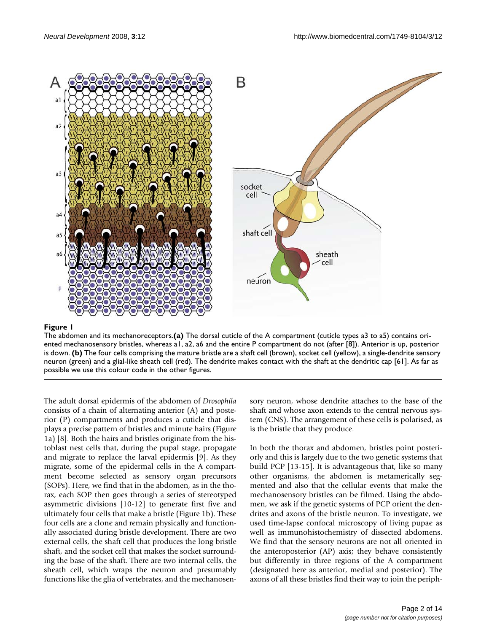

The abdomen and its mechanoreceptors.**(a)** The dorsal cuticle of the A compartment (cuticle types a3 to a5) contains oriented mechanosensory bristles, whereas a1, a2, a6 and the entire P compartment do not (after [8]). Anterior is up, posterior is down. **(b)** The four cells comprising the mature bristle are a shaft cell (brown), socket cell (yellow), a single-dendrite sensory neuron (green) and a glial-like sheath cell (red). The dendrite makes contact with the shaft at the dendritic cap [61]. As far as possible we use this colour code in the other figures.

The adult dorsal epidermis of the abdomen of *Drosophila* consists of a chain of alternating anterior (A) and posterior (P) compartments and produces a cuticle that displays a precise pattern of bristles and minute hairs (Figure 1a) [\[8\]](#page-12-0). Both the hairs and bristles originate from the histoblast nest cells that, during the pupal stage, propagate and migrate to replace the larval epidermis [9]. As they migrate, some of the epidermal cells in the A compartment become selected as sensory organ precursors (SOPs). Here, we find that in the abdomen, as in the thorax, each SOP then goes through a series of stereotyped asymmetric divisions [10-[12\]](#page-12-1) to generate first five and ultimately four cells that make a bristle (Figure 1b). These four cells are a clone and remain physically and functionally associated during bristle development. There are two external cells, the shaft cell that produces the long bristle shaft, and the socket cell that makes the socket surrounding the base of the shaft. There are two internal cells, the sheath cell, which wraps the neuron and presumably functions like the glia of vertebrates, and the mechanosensory neuron, whose dendrite attaches to the base of the shaft and whose axon extends to the central nervous system (CNS). The arrangement of these cells is polarised, as is the bristle that they produce.

In both the thorax and abdomen, bristles point posteriorly and this is largely due to the two genetic systems that build PCP [13-15]. It is advantageous that, like so many other organisms, the abdomen is metamerically segmented and also that the cellular events that make the mechanosensory bristles can be filmed. Using the abdomen, we ask if the genetic systems of PCP orient the dendrites and axons of the bristle neuron. To investigate, we used time-lapse confocal microscopy of living pupae as well as immunohistochemistry of dissected abdomens. We find that the sensory neurons are not all oriented in the anteroposterior (AP) axis; they behave consistently but differently in three regions of the A compartment (designated here as anterior, medial and posterior). The axons of all these bristles find their way to join the periph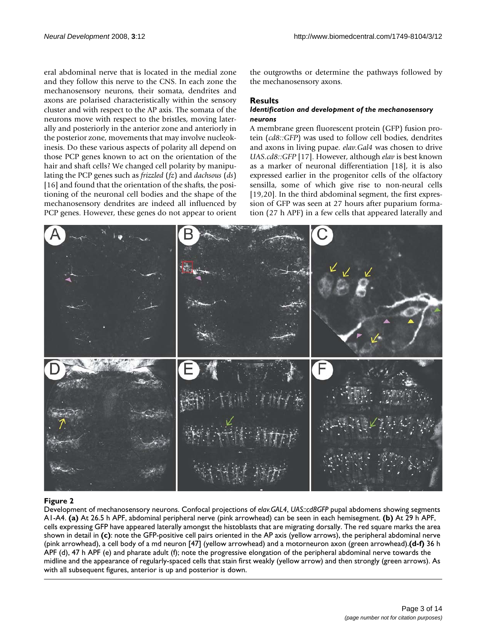eral abdominal nerve that is located in the medial zone and they follow this nerve to the CNS. In each zone the mechanosensory neurons, their somata, dendrites and axons are polarised characteristically within the sensory cluster and with respect to the AP axis. The somata of the neurons move with respect to the bristles, moving laterally and posteriorly in the anterior zone and anteriorly in the posterior zone, movements that may involve nucleokinesis. Do these various aspects of polarity all depend on those PCP genes known to act on the orientation of the hair and shaft cells? We changed cell polarity by manipulating the PCP genes such as *frizzled* (*fz*) and *dachsous* (*ds*) [16] and found that the orientation of the shafts, the positioning of the neuronal cell bodies and the shape of the mechanosensory dendrites are indeed all influenced by PCP genes. However, these genes do not appear to orient the outgrowths or determine the pathways followed by the mechanosensory axons.

#### **Results**

#### *Identification and development of the mechanosensory neurons*

A membrane green fluorescent protein (GFP) fusion protein (*cd8::GFP*) was used to follow cell bodies, dendrites and axons in living pupae. *elav.Gal4* was chosen to drive *UAS.cd8::GFP* [17]. However, although *elav* is best known as a marker of neuronal differentiation [18], it is also expressed earlier in the progenitor cells of the olfactory sensilla, some of which give rise to non-neural cells [19,20]. In the third abdominal segment, the first expression of GFP was seen at 27 hours after puparium formation (27 h APF) in a few cells that appeared laterally and



#### **Figure 2**

Development of mechanosensory neurons. Confocal projections of *elav.GAL4*, *UAS::cd8GFP* pupal abdomens showing segments A1-A4. **(a)** At 26.5 h APF, abdominal peripheral nerve (pink arrowhead) can be seen in each hemisegment. **(b)** At 29 h APF, cells expressing GFP have appeared laterally amongst the histoblasts that are migrating dorsally. The red square marks the area shown in detail in **(c)**: note the GFP-positive cell pairs oriented in the AP axis (yellow arrows), the peripheral abdominal nerve (pink arrowhead), a cell body of a md neuron [47] (yellow arrowhead) and a motorneuron axon (green arrowhead).**(d-f)** 36 h APF (d), 47 h APF (e) and pharate adult (f); note the progressive elongation of the peripheral abdominal nerve towards the midline and the appearance of regularly-spaced cells that stain first weakly (yellow arrow) and then strongly (green arrows). As with all subsequent figures, anterior is up and posterior is down.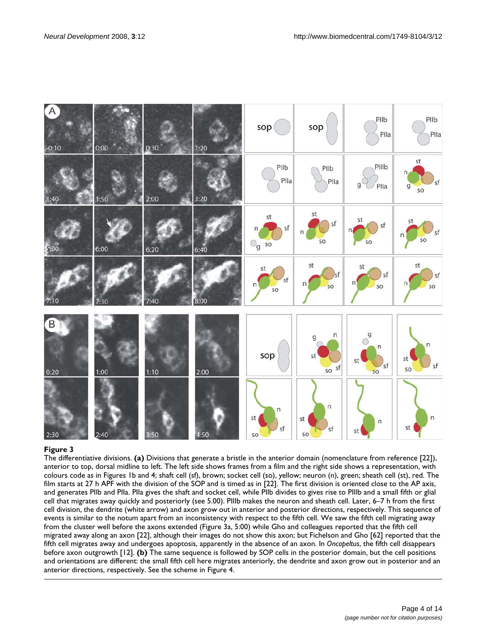

The differentiative divisions. **(a)** Divisions that generate a bristle in the anterior domain (nomenclature from reference [22]), anterior to top, dorsal midline to left. The left side shows frames from a film and the right side shows a representation, with colours code as in Figures 1b and 4; shaft cell (sf), brown; socket cell (so), yellow; neuron (n), green; sheath cell (st), red. The film starts at 27 h APF with the division of the SOP and is timed as in [22]. The first division is oriented close to the AP axis, and generates PIIb and PIIa. PIIa gives the shaft and socket cell, while PIIb divides to gives rise to PIIIb and a small fifth or glial cell that migrates away quickly and posteriorly (see 5.00). PIIIb makes the neuron and sheath cell. Later, 6–7 h from the first cell division, the dendrite (white arrow) and axon grow out in anterior and posterior directions, respectively. This sequence of events is similar to the notum apart from an inconsistency with respect to the fifth cell. We saw the fifth cell migrating away from the cluster well before the axons extended (Figure 3a, 5:00) while Gho and colleagues reported that the fifth cell migrated away along an axon [22], although their images do not show this axon; but Fichelson and Gho [62] reported that the fifth cell migrates away and undergoes apoptosis, apparently in the absence of an axon. In *Oncopeltus*, the fifth cell disappears before axon outgrowth [12]. **(b)** The same sequence is followed by SOP cells in the posterior domain, but the cell positions and orientations are different: the small fifth cell here migrates anteriorly, the dendrite and axon grow out in posterior and an anterior directions, respectively. See the scheme in Figure 4.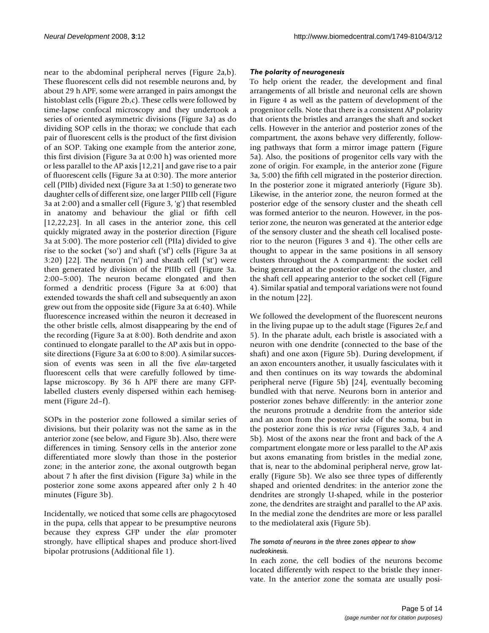near to the abdominal peripheral nerves (Figure 2a,b). These fluorescent cells did not resemble neurons and, by about 29 h APF, some were arranged in pairs amongst the histoblast cells (Figure 2b,c). These cells were followed by time-lapse confocal microscopy and they undertook a series of oriented asymmetric divisions (Figure 3a) as do dividing SOP cells in the thorax; we conclude that each pair of fluorescent cells is the product of the first division of an SOP. Taking one example from the anterior zone, this first division (Figure 3a at 0:00 h) was oriented more or less parallel to the AP axis [\[12](#page-12-1),21] and gave rise to a pair of fluorescent cells (Figure 3a at 0:30). The more anterior cell (PIIb) divided next (Figure 3a at 1:50) to generate two daughter cells of different size, one larger PIIIb cell (Figure 3a at 2:00) and a smaller cell (Figure 3, 'g') that resembled in anatomy and behaviour the glial or fifth cell [[12](#page-12-1),[22](#page-12-2)[,23](#page-12-3)]. In all cases in the anterior zone, this cell quickly migrated away in the posterior direction (Figure 3a at 5:00). The more posterior cell (PIIa) divided to give rise to the socket ('so') and shaft ('sf') cells (Figure 3a at  $3:20$  [\[22](#page-12-2)]. The neuron ('n') and sheath cell ('st') were then generated by division of the PIIIb cell (Figure 3a. 2:00–5:00). The neuron became elongated and then formed a dendritic process (Figure 3a at 6:00) that extended towards the shaft cell and subsequently an axon grew out from the opposite side (Figure 3a at 6:40). While fluorescence increased within the neuron it decreased in the other bristle cells, almost disappearing by the end of the recording (Figure 3a at 8:00). Both dendrite and axon continued to elongate parallel to the AP axis but in opposite directions (Figure 3a at 6:00 to 8:00). A similar succession of events was seen in all the five *elav*-targeted fluorescent cells that were carefully followed by timelapse microscopy. By 36 h APF there are many GFPlabelled clusters evenly dispersed within each hemisegment (Figure 2d–f).

SOPs in the posterior zone followed a similar series of divisions, but their polarity was not the same as in the anterior zone (see below, and Figure 3b). Also, there were differences in timing. Sensory cells in the anterior zone differentiated more slowly than those in the posterior zone; in the anterior zone, the axonal outgrowth began about 7 h after the first division (Figure 3a) while in the posterior zone some axons appeared after only 2 h 40 minutes (Figure 3b).

Incidentally, we noticed that some cells are phagocytosed in the pupa, cells that appear to be presumptive neurons because they express GFP under the *elav* promoter strongly, have elliptical shapes and produce short-lived bipolar protrusions (Additional file 1).

#### *The polarity of neurogenesis*

To help orient the reader, the development and final arrangements of all bristle and neuronal cells are shown in Figure 4 as well as the pattern of development of the progenitor cells. Note that there is a consistent AP polarity that orients the bristles and arranges the shaft and socket cells. However in the anterior and posterior zones of the compartment, the axons behave very differently, following pathways that form a mirror image pattern (Figure 5a). Also, the positions of progenitor cells vary with the zone of origin. For example, in the anterior zone (Figure 3a, 5:00) the fifth cell migrated in the posterior direction. In the posterior zone it migrated anteriorly (Figure 3b). Likewise, in the anterior zone, the neuron formed at the posterior edge of the sensory cluster and the sheath cell was formed anterior to the neuron. However, in the posterior zone, the neuron was generated at the anterior edge of the sensory cluster and the sheath cell localised posterior to the neuron (Figures 3 and 4). The other cells are thought to appear in the same positions in all sensory clusters throughout the A compartment: the socket cell being generated at the posterior edge of the cluster, and the shaft cell appearing anterior to the socket cell (Figure 4). Similar spatial and temporal variations were not found in the notum [[22\]](#page-12-2).

We followed the development of the fluorescent neurons in the living pupae up to the adult stage (Figures 2e,f and 5). In the pharate adult, each bristle is associated with a neuron with one dendrite (connected to the base of the shaft) and one axon (Figure 5b). During development, if an axon encounters another, it usually fasciculates with it and then continues on its way towards the abdominal peripheral nerve (Figure 5b) [24], eventually becoming bundled with that nerve. Neurons born in anterior and posterior zones behave differently: in the anterior zone the neurons protrude a dendrite from the anterior side and an axon from the posterior side of the soma, but in the posterior zone this is *vice versa* (Figures 3a,b, 4 and 5b). Most of the axons near the front and back of the A compartment elongate more or less parallel to the AP axis but axons emanating from bristles in the medial zone, that is, near to the abdominal peripheral nerve, grow laterally (Figure 5b). We also see three types of differently shaped and oriented dendrites: in the anterior zone the dendrites are strongly U-shaped, while in the posterior zone, the dendrites are straight and parallel to the AP axis. In the medial zone the dendrites are more or less parallel to the mediolateral axis (Figure 5b).

#### *The somata of neurons in the three zones appear to show nucleokinesis.*

In each zone, the cell bodies of the neurons become located differently with respect to the bristle they innervate. In the anterior zone the somata are usually posi-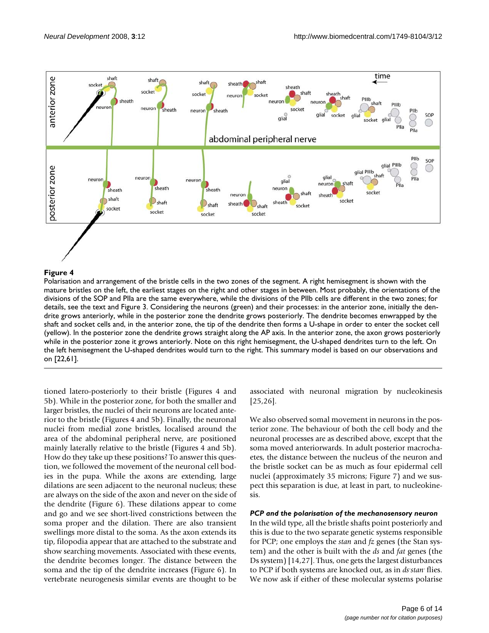

#### Polarisation and arrangement of the bristl **Figure 4** e cells in the two zones of the segment

Polarisation and arrangement of the bristle cells in the two zones of the segment. A right hemisegment is shown with the mature bristles on the left, the earliest stages on the right and other stages in between. Most probably, the orientations of the divisions of the SOP and PIIa are the same everywhere, while the divisions of the PIIb cells are different in the two zones; for details, see the text and Figure 3. Considering the neurons (green) and their processes: in the anterior zone, initially the dendrite grows anteriorly, while in the posterior zone the dendrite grows posteriorly. The dendrite becomes enwrapped by the shaft and socket cells and, in the anterior zone, the tip of the dendrite then forms a U-shape in order to enter the socket cell (yellow). In the posterior zone the dendrite grows straight along the AP axis. In the anterior zone, the axon grows posteriorly while in the posterior zone it grows anteriorly. Note on this right hemisegment, the U-shaped dendrites turn to the left. On the left hemisegment the U-shaped dendrites would turn to the right. This summary model is based on our observations and on [22,61].

tioned latero-posteriorly to their bristle (Figures 4 and 5b). While in the posterior zone, for both the smaller and larger bristles, the nuclei of their neurons are located anterior to the bristle (Figures 4 and 5b). Finally, the neuronal nuclei from medial zone bristles, localised around the area of the abdominal peripheral nerve, are positioned mainly laterally relative to the bristle (Figures 4 and 5b). How do they take up these positions? To answer this question, we followed the movement of the neuronal cell bodies in the pupa. While the axons are extending, large dilations are seen adjacent to the neuronal nucleus; these are always on the side of the axon and never on the side of the dendrite (Figure 6). These dilations appear to come and go and we see short-lived constrictions between the soma proper and the dilation. There are also transient swellings more distal to the soma. As the axon extends its tip, filopodia appear that are attached to the substrate and show searching movements. Associated with these events, the dendrite becomes longer. The distance between the soma and the tip of the dendrite increases (Figure 6). In vertebrate neurogenesis similar events are thought to be associated with neuronal migration by nucleokinesis [25,26].

We also observed somal movement in neurons in the posterior zone. The behaviour of both the cell body and the neuronal processes are as described above, except that the soma moved anteriorwards. In adult posterior macrochaetes, the distance between the nucleus of the neuron and the bristle socket can be as much as four epidermal cell nuclei (approximately 35 microns; Figure 7) and we suspect this separation is due, at least in part, to nucleokinesis.

#### *PCP and the polarisation of the mechanosensory neuron*

In the wild type, all the bristle shafts point posteriorly and this is due to the two separate genetic systems responsible for PCP; one employs the *stan* and *fz* genes (the Stan system) and the other is built with the *ds* and *fat* genes (the Ds system) [14,27]. Thus, one gets the largest disturbances to PCP if both systems are knocked out, as in *ds-stan-flies*. We now ask if either of these molecular systems polarise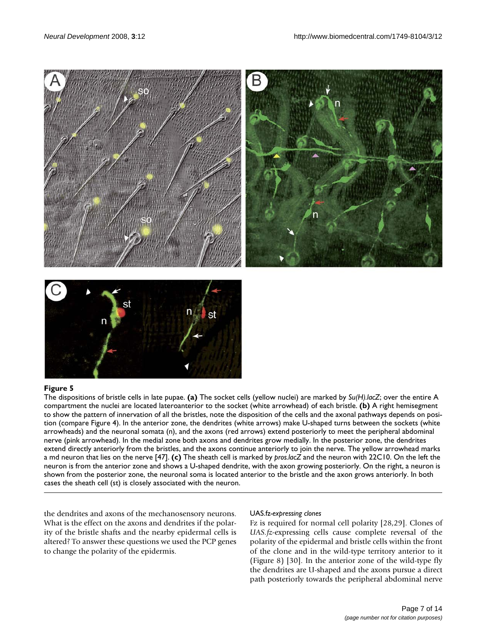

The dispositions of bristle cells in late pupae. **(a)** The socket cells (yellow nuclei) are marked by *Su(H).lacZ*; over the entire A compartment the nuclei are located lateroanterior to the socket (white arrowhead) of each bristle. **(b)** A right hemisegment to show the pattern of innervation of all the bristles, note the disposition of the cells and the axonal pathways depends on position (compare Figure 4). In the anterior zone, the dendrites (white arrows) make U-shaped turns between the sockets (white arrowheads) and the neuronal somata (n), and the axons (red arrows) extend posteriorly to meet the peripheral abdominal nerve (pink arrowhead). In the medial zone both axons and dendrites grow medially. In the posterior zone, the dendrites extend directly anteriorly from the bristles, and the axons continue anteriorly to join the nerve. The yellow arrowhead marks a md neuron that lies on the nerve [47]. **(c)** The sheath cell is marked by *pros.lacZ* and the neuron with 22C10. On the left the neuron is from the anterior zone and shows a U-shaped dendrite, with the axon growing posteriorly. On the right, a neuron is shown from the posterior zone, the neuronal soma is located anterior to the bristle and the axon grows anteriorly. In both cases the sheath cell (st) is closely associated with the neuron.

the dendrites and axons of the mechanosensory neurons. What is the effect on the axons and dendrites if the polarity of the bristle shafts and the nearby epidermal cells is altered? To answer these questions we used the PCP genes to change the polarity of the epidermis.

#### UAS.fz*-expressing clones*

Fz is required for normal cell polarity [28,29]. Clones of *UAS.fz-*expressing cells cause complete reversal of the polarity of the epidermal and bristle cells within the front of the clone and in the wild-type territory anterior to it (Figure 8) [30]. In the anterior zone of the wild-type fly the dendrites are U-shaped and the axons pursue a direct path posteriorly towards the peripheral abdominal nerve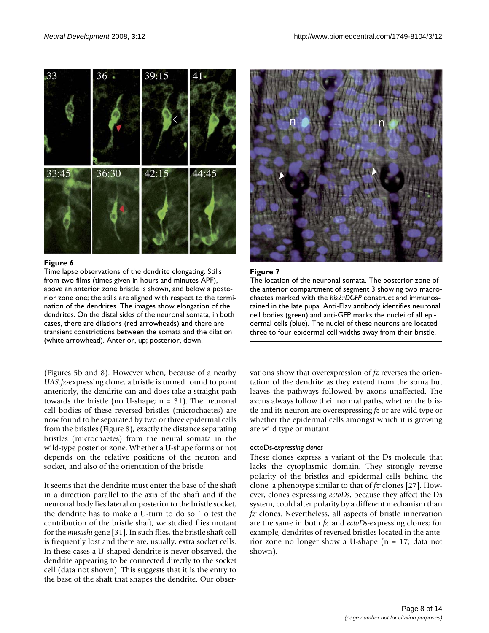

Time lapse observations of the dendrite elongating. Stills from two films (times given in hours and minutes APF), above an anterior zone bristle is shown, and below a posterior zone one; the stills are aligned with respect to the termination of the dendrites. The images show elongation of the dendrites. On the distal sides of the neuronal somata, in both cases, there are dilations (red arrowheads) and there are transient constrictions between the somata and the dilation (white arrowhead). Anterior, up; posterior, down.

(Figures 5b and 8). However when, because of a nearby *UAS.fz-*expressing clone, a bristle is turned round to point anteriorly, the dendrite can and does take a straight path towards the bristle (no U-shape;  $n = 31$ ). The neuronal cell bodies of these reversed bristles (microchaetes) are now found to be separated by two or three epidermal cells from the bristles (Figure 8), exactly the distance separating bristles (microchaetes) from the neural somata in the wild-type posterior zone. Whether a U-shape forms or not depends on the relative positions of the neuron and socket, and also of the orientation of the bristle.

It seems that the dendrite must enter the base of the shaft in a direction parallel to the axis of the shaft and if the neuronal body lies lateral or posterior to the bristle socket, the dendrite has to make a U-turn to do so. To test the contribution of the bristle shaft, we studied flies mutant for the *musashi* gene [31]. In such flies, the bristle shaft cell is frequently lost and there are, usually, extra socket cells. In these cases a U-shaped dendrite is never observed, the dendrite appearing to be connected directly to the socket cell (data not shown). This suggests that it is the entry to the base of the shaft that shapes the dendrite. Our obser-



#### **Figure 7**

The location of the neuronal somata. The posterior zone of the anterior compartment of segment 3 showing two macrochaetes marked with the *his2::DGFP* construct and immunostained in the late pupa. Anti-Elav antibody identifies neuronal cell bodies (green) and anti-GFP marks the nuclei of all epidermal cells (blue). The nuclei of these neurons are located three to four epidermal cell widths away from their bristle.

vations show that overexpression of *fz* reverses the orientation of the dendrite as they extend from the soma but leaves the pathways followed by axons unaffected. The axons always follow their normal paths, whether the bristle and its neuron are overexpressing *fz* or are wild type or whether the epidermal cells amongst which it is growing are wild type or mutant.

#### ectoDs*-expressing clones*

These clones express a variant of the Ds molecule that lacks the cytoplasmic domain. They strongly reverse polarity of the bristles and epidermal cells behind the clone, a phenotype similar to that of *fz*- clones [27]. However, clones expressing *ectoDs*, because they affect the Ds system, could alter polarity by a different mechanism than *fz*- clones. Nevertheless, all aspects of bristle innervation are the same in both *fz*- and *ectoDs*-expressing clones; for example, dendrites of reversed bristles located in the anterior zone no longer show a U-shape (n = 17; data not shown).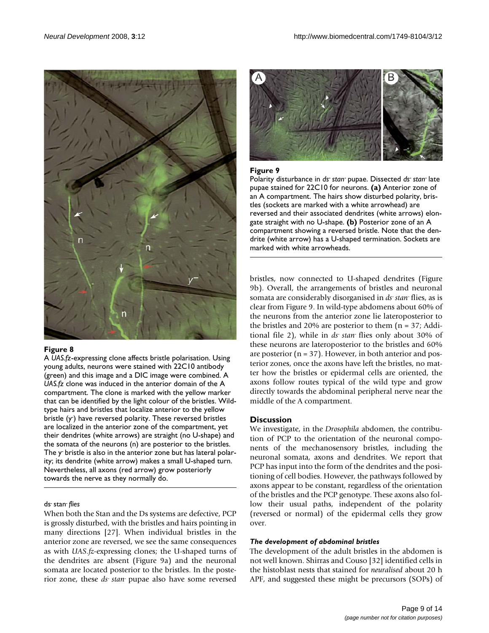

A *UAS.fz*-expressing clone affects bristle polarisation. Using young adults, neurons were stained with 22C10 antibody (green) and this image and a DIC image were combined. A *UAS.fz* clone was induced in the anterior domain of the A compartment. The clone is marked with the yellow marker that can be identified by the light colour of the bristles. Wildtype hairs and bristles that localize anterior to the yellow bristle (y- ) have reversed polarity. These reversed bristles are localized in the anterior zone of the compartment, yet their dendrites (white arrows) are straight (no U-shape) and the somata of the neurons (n) are posterior to the bristles. The y bristle is also in the anterior zone but has lateral polarity; its dendrite (white arrow) makes a small U-shaped turn. Nevertheless, all axons (red arrow) grow posteriorly towards the nerve as they normally do.

#### ds*-* stan*- flies*

When both the Stan and the Ds systems are defective, PCP is grossly disturbed, with the bristles and hairs pointing in many directions [27]. When individual bristles in the anterior zone are reversed, we see the same consequences as with *UAS*.*fz-*expressing clones; the U-shaped turns of the dendrites are absent (Figure 9a) and the neuronal somata are located posterior to the bristles. In the posterior zone, these *ds*- *stan*- pupae also have some reversed



#### **Figure 9**

Polarity disturbance in *ds*- *stan*- pupae. Dissected *ds*- *stan*- late pupae stained for 22C10 for neurons. **(a)** Anterior zone of an A compartment. The hairs show disturbed polarity, bristles (sockets are marked with a white arrowhead) are reversed and their associated dendrites (white arrows) elongate straight with no U-shape. **(b)** Posterior zone of an A compartment showing a reversed bristle. Note that the dendrite (white arrow) has a U-shaped termination. Sockets are marked with white arrowheads.

bristles, now connected to U-shaped dendrites (Figure 9b). Overall, the arrangements of bristles and neuronal somata are considerably disorganised in *ds*- *stan*- flies, as is clear from Figure 9. In wild-type abdomens about 60% of the neurons from the anterior zone lie lateroposterior to the bristles and 20% are posterior to them  $(n = 37;$  Additional file 2), while in *ds*- *stan*- flies only about 30% of these neurons are lateroposterior to the bristles and 60% are posterior ( $n = 37$ ). However, in both anterior and posterior zones, once the axons have left the bristles, no matter how the bristles or epidermal cells are oriented, the axons follow routes typical of the wild type and grow directly towards the abdominal peripheral nerve near the middle of the A compartment.

#### **Discussion**

We investigate, in the *Drosophila* abdomen, the contribution of PCP to the orientation of the neuronal components of the mechanosensory bristles, including the neuronal somata, axons and dendrites. We report that PCP has input into the form of the dendrites and the positioning of cell bodies. However, the pathways followed by axons appear to be constant, regardless of the orientation of the bristles and the PCP genotype. These axons also follow their usual paths, independent of the polarity (reversed or normal) of the epidermal cells they grow over.

#### *The development of abdominal bristles*

The development of the adult bristles in the abdomen is not well known. Shirras and Couso [32] identified cells in the histoblast nests that stained for *neuralised* about 20 h APF, and suggested these might be precursors (SOPs) of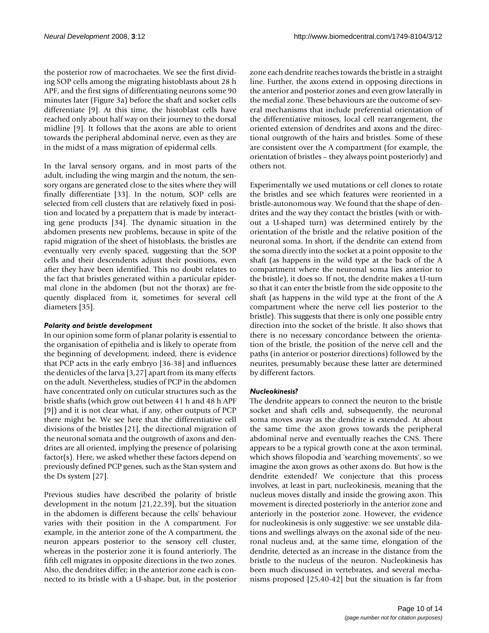the posterior row of macrochaetes. We see the first dividing SOP cells among the migrating histoblasts about 28 h APF, and the first signs of differentiating neurons some 90 minutes later (Figure 3a) before the shaft and socket cells differentiate [9]. At this time, the histoblast cells have reached only about half way on their journey to the dorsal midline [9]. It follows that the axons are able to orient towards the peripheral abdominal nerve, even as they are in the midst of a mass migration of epidermal cells.

In the larval sensory organs, and in most parts of the adult, including the wing margin and the notum, the sensory organs are generated close to the sites where they will finally differentiate [33]. In the notum, SOP cells are selected from cell clusters that are relatively fixed in position and located by a prepattern that is made by interacting gene products [34]. The dynamic situation in the abdomen presents new problems, because in spite of the rapid migration of the sheet of histoblasts, the bristles are eventually very evenly spaced, suggesting that the SOP cells and their descendents adjust their positions, even after they have been identified. This no doubt relates to the fact that bristles generated within a particular epidermal clone in the abdomen (but not the thorax) are frequently displaced from it, sometimes for several cell diameters [35].

#### *Polarity and bristle development*

In our opinion some form of planar polarity is essential to the organisation of epithelia and is likely to operate from the beginning of development; indeed, there is evidence that PCP acts in the early embryo [36-38] and influences the denticles of the larva [3,27] apart from its many effects on the adult. Nevertheless, studies of PCP in the abdomen have concentrated only on cuticular structures such as the bristle shafts (which grow out between 41 h and 48 h APF [9]) and it is not clear what, if any, other outputs of PCP there might be. We see here that the differentiative cell divisions of the bristles [21], the directional migration of the neuronal somata and the outgrowth of axons and dendrites are all oriented, implying the presence of polarising factor(s). Here, we asked whether these factors depend on previously defined PCP genes, such as the Stan system and the Ds system [27].

Previous studies have described the polarity of bristle development in the notum [21[,22,](#page-12-2)39], but the situation in the abdomen is different because the cells' behaviour varies with their position in the A compartment. For example, in the anterior zone of the A compartment, the neuron appears posterior to the sensory cell cluster, whereas in the posterior zone it is found anteriorly. The fifth cell migrates in opposite directions in the two zones. Also, the dendrites differ; in the anterior zone each is connected to its bristle with a U-shape, but, in the posterior

zone each dendrite reaches towards the bristle in a straight line. Further, the axons extend in opposing directions in the anterior and posterior zones and even grow laterally in the medial zone. These behaviours are the outcome of several mechanisms that include preferential orientation of the differentiative mitoses, local cell rearrangement, the oriented extension of dendrites and axons and the directional outgrowth of the hairs and bristles. Some of these are consistent over the A compartment (for example, the orientation of bristles – they always point posteriorly) and others not.

Experimentally we used mutations or cell clones to rotate the bristles and see which features were reoriented in a bristle-autonomous way. We found that the shape of dendrites and the way they contact the bristles (with or without a U-shaped turn) was determined entirely by the orientation of the bristle and the relative position of the neuronal soma. In short, if the dendrite can extend from the soma directly into the socket at a point opposite to the shaft (as happens in the wild type at the back of the A compartment where the neuronal soma lies anterior to the bristle), it does so. If not, the dendrite makes a U-turn so that it can enter the bristle from the side opposite to the shaft (as happens in the wild type at the front of the A compartment where the nerve cell lies posterior to the bristle). This suggests that there is only one possible entry direction into the socket of the bristle. It also shows that there is no necessary concordance between the orientation of the bristle, the position of the nerve cell and the paths (in anterior or posterior directions) followed by the neurites, presumably because these latter are determined by different factors.

#### *Nucleokinesis?*

The dendrite appears to connect the neuron to the bristle socket and shaft cells and, subsequently, the neuronal soma moves away as the dendrite is extended. At about the same time the axon grows towards the peripheral abdominal nerve and eventually reaches the CNS. There appears to be a typical growth cone at the axon terminal, which shows filopodia and 'searching movements', so we imagine the axon grows as other axons do. But how is the dendrite extended? We conjecture that this process involves, at least in part, nucleokinesis, meaning that the nucleus moves distally and inside the growing axon. This movement is directed posteriorly in the anterior zone and anteriorly in the posterior zone. However, the evidence for nucleokinesis is only suggestive: we see unstable dilations and swellings always on the axonal side of the neuronal nucleus and, at the same time, elongation of the dendrite, detected as an increase in the distance from the bristle to the nucleus of the neuron. Nucleokinesis has been much discussed in vertebrates, and several mechanisms proposed [25,40-42] but the situation is far from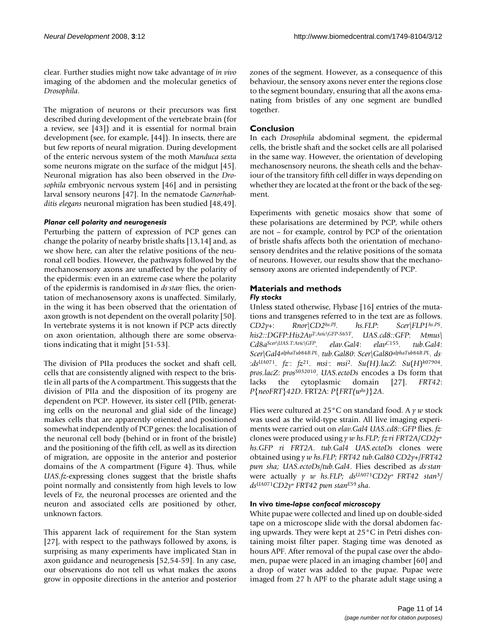clear. Further studies might now take advantage of *in vivo* imaging of the abdomen and the molecular genetics of *Drosophila*.

The migration of neurons or their precursors was first described during development of the vertebrate brain (for a review, see [43]) and it is essential for normal brain development (see, for example, [44]). In insects, there are but few reports of neural migration. During development of the enteric nervous system of the moth *Manduca sexta* some neurons migrate on the surface of the midgut [45]. Neuronal migration has also been observed in the *Drosophila* embryonic nervous system [46] and in persisting larval sensory neurons [47]. In the nematode *Caenorhabditis elegans* neuronal migration has been studied [48[,49](#page-13-0)].

#### *Planar cell polarity and neurogenesis*

Perturbing the pattern of expression of PCP genes can change the polarity of nearby bristle shafts [13,14] and, as we show here, can alter the relative positions of the neuronal cell bodies. However, the pathways followed by the mechanosensory axons are unaffected by the polarity of the epidermis: even in an extreme case where the polarity of the epidermis is randomised in *ds*-*stan*- flies, the orientation of mechanosensory axons is unaffected. Similarly, in the wing it has been observed that the orientation of axon growth is not dependent on the overall polarity [50]. In vertebrate systems it is not known if PCP acts directly on axon orientation, although there are some observations indicating that it might [51-53].

The division of PIIa produces the socket and shaft cell, cells that are consistently aligned with respect to the bristle in all parts of the A compartment. This suggests that the division of PIIa and the disposition of its progeny are dependent on PCP. However, its sister cell (PIIb, generating cells on the neuronal and glial side of the lineage) makes cells that are apparently oriented and positioned somewhat independently of PCP genes: the localisation of the neuronal cell body (behind or in front of the bristle) and the positioning of the fifth cell, as well as its direction of migration, are opposite in the anterior and posterior domains of the A compartment (Figure 4). Thus, while *UAS.fz-*expressing clones suggest that the bristle shafts point normally and consistently from high levels to low levels of Fz, the neuronal processes are oriented and the neuron and associated cells are positioned by other, unknown factors.

This apparent lack of requirement for the Stan system [27], with respect to the pathways followed by axons, is surprising as many experiments have implicated Stan in axon guidance and neurogenesis [52,54-59]. In any case, our observations do not tell us what makes the axons grow in opposite directions in the anterior and posterior zones of the segment. However, as a consequence of this behaviour, the sensory axons never enter the regions close to the segment boundary, ensuring that all the axons emanating from bristles of any one segment are bundled together.

#### **Conclusion**

In each *Drosophila* abdominal segment, the epidermal cells, the bristle shaft and the socket cells are all polarised in the same way. However, the orientation of developing mechanosensory neurons, the sheath cells and the behaviour of the transitory fifth cell differ in ways depending on whether they are located at the front or the back of the segment.

Experiments with genetic mosaics show that some of these polarisations are determined by PCP, while others are not – for example, control by PCP of the orientation of bristle shafts affects both the orientation of mechanosensory dendrites and the relative positions of the somata of neurons. However, our results show that the mechanosensory axons are oriented independently of PCP.

#### **Materials and methods** *Fly stocks*

Unless stated otherwise, Flybase [16] entries of the mutations and transgenes referred to in the text are as follows. *CD2y+*: *Rnor\CD2hs*.*PJ*. *hs.FLP*: *Scer\FLP1hs*.*PS*. *his2::DGFP*:*His2AvT*:*Avic*\*GFP*-*S*65*<sup>T</sup>*. *UAS.cd8::GFP*: *Mmus\ Cd*8*aScer*\*UAS*.*T*:*Avic*\*GFP*. *elav.Gal4*: *elavC*155. *tub.Gal4*: *Scer\Gal4alphaTub*84*B*.*PL*. *tub.Gal80*: *Scer\Gal80alphaTub*84*B*.*PL. ds*- :*dsUA*071. *fz*- : *fz*21. *msi*- : *msi*2. *Su(H).lacZ*: *Su*(*H*)*<sup>k</sup>*07904. *pros.lacZ*: *prosS*032010. *UAS.ectoDs* encodes a Ds form that lacks the cytoplasmic domain [27]. *FRT42*: *P{neoFRT}42D*. FRT2A: *P{FRT(whs)}2A*.

Flies were cultured at 25°C on standard food. A *y w* stock was used as the wild-type strain. All live imaging experiments were carried out on *elav.Gal4 UAS.cd8::GFP* flies. *fz*clones were produced using *y w hs.FLP; fz*-*ri FRT2A*/*CD2y*<sup>+</sup> *hs.GFP ri FRT2A*. *tub.Gal4 UAS.ectoDs* clones were obtained using *y w hs.FLP; FRT42 tub.Gal80 CD2y+/FRT42 pwn sha; UAS.ectoDs/tub.Gal4*. Flies described as *ds*-*stan*were actually *y w hs.FLP; dsUA*<sup>071</sup>*CD2y*<sup>+</sup>*FRT42 stan*<sup>3</sup>*/ dsUA*<sup>071</sup>*CD2y*<sup>+</sup>*FRT42 pwn stanE*<sup>59</sup>*sha*.

#### **In vivo** *time-lapse confocal microscopy*

White pupae were collected and lined up on double-sided tape on a microscope slide with the dorsal abdomen facing upwards. They were kept at 25°C in Petri dishes containing moist filter paper. Staging time was denoted as hours APF. After removal of the pupal case over the abdomen, pupae were placed in an imaging chamber [60] and a drop of water was added to the pupae. Pupae were imaged from 27 h APF to the pharate adult stage using a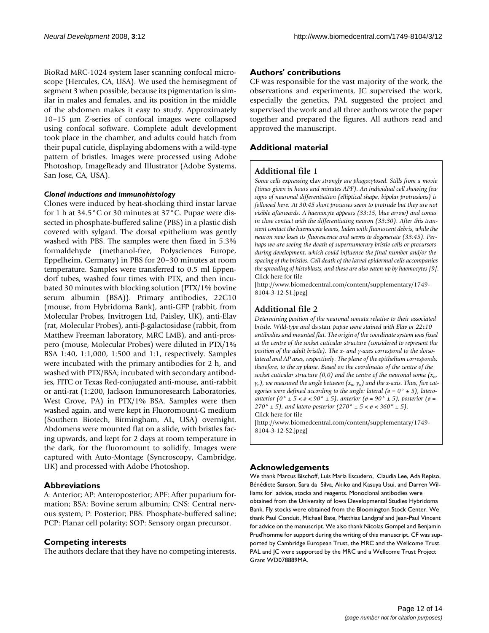BioRad MRC-1024 system laser scanning confocal microscope (Hercules, CA, USA). We used the hemisegment of segment 3 when possible, because its pigmentation is similar in males and females, and its position in the middle of the abdomen makes it easy to study. Approximately 10–15 μm Z-series of confocal images were collapsed using confocal software. Complete adult development took place in the chamber, and adults could hatch from their pupal cuticle, displaying abdomens with a wild-type pattern of bristles. Images were processed using Adobe Photoshop, ImageReady and Illustrator (Adobe Systems, San Jose, CA, USA).

#### *Clonal inductions and immunohistology*

Clones were induced by heat-shocking third instar larvae for 1 h at 34.5°C or 30 minutes at 37°C. Pupae were dissected in phosphate-buffered saline (PBS) in a plastic dish covered with sylgard. The dorsal epithelium was gently washed with PBS. The samples were then fixed in 5.3% formaldehyde (methanol-free, Polysciences Europe, Eppelheim, Germany) in PBS for 20–30 minutes at room temperature. Samples were transferred to 0.5 ml Eppendorf tubes, washed four times with PTX, and then incubated 30 minutes with blocking solution (PTX/1% bovine serum albumin (BSA)). Primary antibodies, 22C10 (mouse, from Hybridoma Bank), anti-GFP (rabbit, from Molecular Probes, Invitrogen Ltd, Paisley, UK), anti-Elav (rat, Molecular Probes), anti-β-galactosidase (rabbit, from Matthew Freeman laboratory, MRC LMB), and anti-prospero (mouse, Molecular Probes) were diluted in PTX/1% BSA 1:40, 1:1,000, 1:500 and 1:1, respectively. Samples were incubated with the primary antibodies for 2 h, and washed with PTX/BSA; incubated with secondary antibodies, FITC or Texas Red-conjugated anti-mouse, anti-rabbit or anti-rat (1:200, Jackson Inmunoresearch Laboratories, West Grove, PA) in PTX/1% BSA. Samples were then washed again, and were kept in Fluoromount-G medium (Southern Biotech, Birmingham, AL, USA) overnight. Abdomens were mounted flat on a slide, with bristles facing upwards, and kept for 2 days at room temperature in the dark, for the fluoromount to solidify. Images were captured with Auto-Montage (Syncroscopy, Cambridge, UK) and processed with Adobe Photoshop.

#### **Abbreviations**

A: Anterior; AP: Anteroposterior; APF: After puparium formation; BSA: Bovine serum albumin; CNS: Central nervous system; P: Posterior; PBS: Phosphate-buffered saline; PCP: Planar cell polarity; SOP: Sensory organ precursor.

#### **Competing interests**

The authors declare that they have no competing interests.

#### **Authors' contributions**

CF was responsible for the vast majority of the work, the observations and experiments, JC supervised the work, especially the genetics, PAL suggested the project and supervised the work and all three authors wrote the paper together and prepared the figures. All authors read and approved the manuscript.

#### **Additional material**

#### **Additional file 1**

*Some cells expressing* elav *strongly are phagocytosed. Stills from a movie (times given in hours and minutes APF). An individual cell showing few signs of neuronal differentiation (elliptical shape, bipolar protrusions) is followed here. At 30:45 short processes seem to protrude but they are not visible afterwards. A haemocyte appears (33:15, blue arrow) and comes in close contact with the differentiating neuron (33:30). After this transient contact the haemocyte leaves, laden with fluorescent debris, while the neuron now loses its fluorescence and seems to degenerate (33:45). Perhaps we are seeing the death of supernumerary bristle cells or precursors during development, which could influence the final number and/or the spacing of the bristles. Cell death of the larval epidermal cells accompanies the spreading of histoblasts, and these are also eaten up by haemocytes [9].* Click here for file

[\[http://www.biomedcentral.com/content/supplementary/1749-](http://www.biomedcentral.com/content/supplementary/1749-8104-3-12-S1.jpeg) 8104-3-12-S1.jpeg]

### **Additional file 2**

*Determining position of the neuronal somata relative to their associated bristle. Wild-type and* ds*-*stan*- pupae were stained with Elav or 22c10 antibodies and mounted flat. The origin of the coordinate system was fixed at the centre of the socket cuticular structure (considered to represent the position of the adult bristle). The x- and y-axes correspond to the dorsolateral and AP axes, respectively. The plane of the epithelium corresponds, therefore, to the xy plane. Based on the coordinates of the centre of the socket cuticular structure* (0,0) and the centre of the neuronal soma  $(x_n, y_n)$  $y_n$ ), we measured the angle between  $(x_n, y_n)$  and the x-axis. Thus, five cat*egories were defined according to the angle: lateral (ø = 0° ± 5), latero*anterior  $(0^{\circ} \pm 5 < \varrho < 90^{\circ} \pm 5)$ , anterior  $(\varrho = 90^{\circ} \pm 5)$ , posterior  $(\varrho =$ *270°*  $\pm$  *5), and latero-posterior (270°*  $\pm$  *5 <*  $\theta$  *< 360°*  $\pm$  *5).* Click here for file

[\[http://www.biomedcentral.com/content/supplementary/1749-](http://www.biomedcentral.com/content/supplementary/1749-8104-3-12-S2.jpeg) 8104-3-12-S2.jpeg]

#### **Acknowledgements**

We thank Marcus Bischoff, Luis Maria Escudero, Claudia Lee, Ada Repiso, Bénédicte Sanson, Sara da Silva, Akiko and Kasuya Usui, and Darren Williams for advice, stocks and reagents. Monoclonal antibodies were obtained from the University of Iowa Developmental Studies Hybridoma Bank. Fly stocks were obtained from the Bloomington Stock Center. We thank Paul Conduit, Michael Bate, Matthias Landgraf and Jean-Paul Vincent for advice on the manuscript. We also thank Nicolas Gompel and Benjamin Prud'homme for support during the writing of this manuscript. CF was supported by Cambridge European Trust, the MRC and the Wellcome Trust. PAL and JC were supported by the MRC and a Wellcome Trust Project Grant WD078889MA.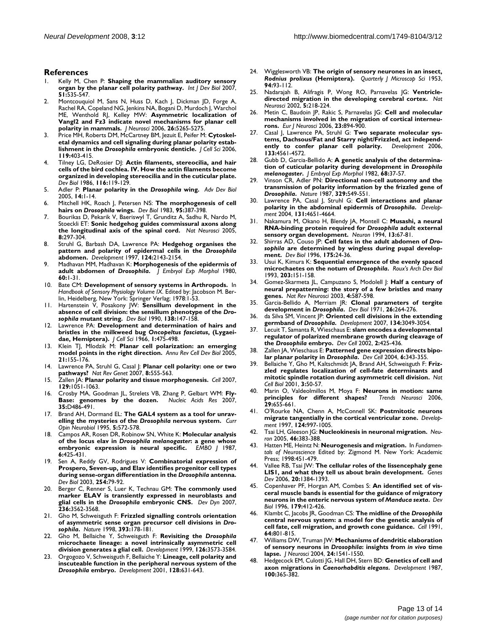#### **References**

- 1. Kelly M, Chen P: **[Shaping the mammalian auditory sensory](http://www.ncbi.nlm.nih.gov/entrez/query.fcgi?cmd=Retrieve&db=PubMed&dopt=Abstract&list_uids=17891715) [organ by the planar cell polarity pathway.](http://www.ncbi.nlm.nih.gov/entrez/query.fcgi?cmd=Retrieve&db=PubMed&dopt=Abstract&list_uids=17891715)** *Int J Dev Biol* 2007, **51:**535-547.
- 2. Montcouquiol M, Sans N, Huss D, Kach J, Dickman JD, Forge A, Rachel RA, Copeland NG, Jenkins NA, Bogani D, Murdoch J, Warchol ME, Wenthold RJ, Kelley MW: **[Asymmetric localization of](http://www.ncbi.nlm.nih.gov/entrez/query.fcgi?cmd=Retrieve&db=PubMed&dopt=Abstract&list_uids=16687519) [Vangl2 and Fz3 indicate novel mechanisms for planar cell](http://www.ncbi.nlm.nih.gov/entrez/query.fcgi?cmd=Retrieve&db=PubMed&dopt=Abstract&list_uids=16687519) [polarity in mammals.](http://www.ncbi.nlm.nih.gov/entrez/query.fcgi?cmd=Retrieve&db=PubMed&dopt=Abstract&list_uids=16687519)** *J Neurosci* 2006, **26:**5265-5275.
- 3. Price MH, Roberts DM, McCartney BM, Jezuit E, Peifer M: **Cytoskeletal dynamics and cell signaling during planar polarity establishment in the** *Drosophila* **[embryonic denticle.](http://www.ncbi.nlm.nih.gov/entrez/query.fcgi?cmd=Retrieve&db=PubMed&dopt=Abstract&list_uids=16418222)** *J Cell Sci* 2006, **119:**403-415.
- 4. Tilney LG, DeRosier DJ: **[Actin filaments, stereocilia, and hair](http://www.ncbi.nlm.nih.gov/entrez/query.fcgi?cmd=Retrieve&db=PubMed&dopt=Abstract&list_uids=3732602) [cells of the bird cochlea. IV. How the actin filaments become](http://www.ncbi.nlm.nih.gov/entrez/query.fcgi?cmd=Retrieve&db=PubMed&dopt=Abstract&list_uids=3732602) organized in developing stereocilia and in the cuticular plate.** *Dev Biol* 1986, **116:**119-129.
- 5. Adler P: **Planar polarity in the** *Drosophila* **wing.** *Adv Dev Biol* 2005, **14:**1-14.
- 6. Mitchell HK, Roach J, Petersen NS: **The morphogenesis of cell hairs on** *Drosophila* **[wings.](http://www.ncbi.nlm.nih.gov/entrez/query.fcgi?cmd=Retrieve&db=PubMed&dopt=Abstract&list_uids=6402398)** *Dev Biol* 1983, **95:**387-398.
- 7. Bourikas D, Pekarik V, Baeriswyl T, Grunditz A, Sadhu R, Nardo M, Stoeckli ET: **[Sonic hedgehog guides commissural axons along](http://www.ncbi.nlm.nih.gov/entrez/query.fcgi?cmd=Retrieve&db=PubMed&dopt=Abstract&list_uids=15746914) [the longitudinal axis of the spinal cord.](http://www.ncbi.nlm.nih.gov/entrez/query.fcgi?cmd=Retrieve&db=PubMed&dopt=Abstract&list_uids=15746914)** *Nat Neurosci* 2005, **8:**297-304.
- <span id="page-12-0"></span>8. Struhl G, Barbash DA, Lawrence PA: **Hedgehog organises the pattern and polarity of epidermal cells in the** *Drosophila* **[abdomen.](http://www.ncbi.nlm.nih.gov/entrez/query.fcgi?cmd=Retrieve&db=PubMed&dopt=Abstract&list_uids=9187141)** *Development* 1997, **124:**2143-2154.
- 9. Madhavan MM, Madhavan K: **Morphogenesis of the epidermis of adult abdomen of** *Drosophila***[.](http://www.ncbi.nlm.nih.gov/entrez/query.fcgi?cmd=Retrieve&db=PubMed&dopt=Abstract&list_uids=6796636)** *J Embryol Exp Morphol* 1980, **60:**1-31.
- 10. Bate CM: **Development of sensory systems in Arthropods.** In *Handbook of Sensory Physiology Volume IX*. Edited by: Jacobson M. Berlin, Heidelberg, New York: Springer Verlag; 1978:1-53.
- 11. Hartenstein V, Posakony JW: **Sensillum development in the absence of cell division: the sensillum phenotype of the** *Drosophila* **[mutant string.](http://www.ncbi.nlm.nih.gov/entrez/query.fcgi?cmd=Retrieve&db=PubMed&dopt=Abstract&list_uids=2106460)** *Dev Biol* 1990, **138:**147-158.
- <span id="page-12-1"></span>12. Lawrence PA: **Development and determination of hairs and bristles in the milkweed bug** *Oncopeltus fasciatus***[, \(Lygaei](http://www.ncbi.nlm.nih.gov/entrez/query.fcgi?cmd=Retrieve&db=PubMed&dopt=Abstract&list_uids=5956722)[dae, Hemiptera\).](http://www.ncbi.nlm.nih.gov/entrez/query.fcgi?cmd=Retrieve&db=PubMed&dopt=Abstract&list_uids=5956722)** *J Cell Sci* 1966, **1:**475-498.
- 13. Klein TJ, Mlodzik M: **[Planar cell polarization: an emerging](http://www.ncbi.nlm.nih.gov/entrez/query.fcgi?cmd=Retrieve&db=PubMed&dopt=Abstract&list_uids=16212491) [model points in the right direction.](http://www.ncbi.nlm.nih.gov/entrez/query.fcgi?cmd=Retrieve&db=PubMed&dopt=Abstract&list_uids=16212491)** *Annu Rev Cell Dev Biol* 2005, **21:**155-176.
- 14. Lawrence PA, Struhl G, Casal J: **[Planar cell polarity: one or two](http://www.ncbi.nlm.nih.gov/entrez/query.fcgi?cmd=Retrieve&db=PubMed&dopt=Abstract&list_uids=17563758) [pathways?](http://www.ncbi.nlm.nih.gov/entrez/query.fcgi?cmd=Retrieve&db=PubMed&dopt=Abstract&list_uids=17563758)** *Nat Rev Genet* 2007, **8:**555-563.
- 15. Zallen JA: **[Planar polarity and tissue morphogenesis.](http://www.ncbi.nlm.nih.gov/entrez/query.fcgi?cmd=Retrieve&db=PubMed&dopt=Abstract&list_uids=17574020)** *Cell* 2007, **129:**1051-1063.
- 16. Crosby MA, Goodman JL, Strelets VB, Zhang P, Gelbart WM: **[Fly-](http://www.ncbi.nlm.nih.gov/entrez/query.fcgi?cmd=Retrieve&db=PubMed&dopt=Abstract&list_uids=17099233)**[Base: genomes by the dozen.](http://www.ncbi.nlm.nih.gov/entrez/query.fcgi?cmd=Retrieve&db=PubMed&dopt=Abstract&list_uids=17099233) **35:**D486-491.
- 17. Brand AH, Dormand EL: **The GAL4 system as a tool for unravelling the mysteries of the** *Drosophila* **[nervous system.](http://www.ncbi.nlm.nih.gov/entrez/query.fcgi?cmd=Retrieve&db=PubMed&dopt=Abstract&list_uids=8580708)** *Curr Opin Neurobiol* 1995, **5:**572-578.
- 18. Campos AR, Rosen DR, Robinow SN, White K: **Molecular analysis of the locus elav in** *Drosophila melanogaster***[: a gene whose](http://www.ncbi.nlm.nih.gov/entrez/query.fcgi?cmd=Retrieve&db=PubMed&dopt=Abstract&list_uids=3107982) [embryonic expression is neural specific.](http://www.ncbi.nlm.nih.gov/entrez/query.fcgi?cmd=Retrieve&db=PubMed&dopt=Abstract&list_uids=3107982)** *EMBO J* 1987, **6:**425-431.
- Sen A, Reddy GV, Rodrigues V: **Combinatorial expression of Prospero, Seven-up, and Elav identifies progenitor cell types during sense-organ differentiation in the** *Drosophila* **[antenna.](http://www.ncbi.nlm.nih.gov/entrez/query.fcgi?cmd=Retrieve&db=PubMed&dopt=Abstract&list_uids=12606283)** *Dev Biol* 2003, **254:**79-92.
- 20. Berger C, Renner S, Luer K, Technau GM: **The commonly used marker ELAV is transiently expressed in neuroblasts and glial cells in the** *Drosophila* **[embryonic CNS.](http://www.ncbi.nlm.nih.gov/entrez/query.fcgi?cmd=Retrieve&db=PubMed&dopt=Abstract&list_uids=17994541)** *Dev Dyn* 2007, **236:**3562-3568.
- 21. Gho M, Schweisguth F: **Frizzled signalling controls orientation of asymmetric sense organ precursor cell divisions in** *Drosophila***[.](http://www.ncbi.nlm.nih.gov/entrez/query.fcgi?cmd=Retrieve&db=PubMed&dopt=Abstract&list_uids=9603522)** *Nature* 1998, **393:**178-181.
- <span id="page-12-2"></span>22. Gho M, Bellaiche Y, Schweisguth F: **Revisiting the** *Drosophila* **[microchaete lineage: a novel intrinsically asymmetric cell](http://www.ncbi.nlm.nih.gov/entrez/query.fcgi?cmd=Retrieve&db=PubMed&dopt=Abstract&list_uids=10409503) [division generates a glial cell.](http://www.ncbi.nlm.nih.gov/entrez/query.fcgi?cmd=Retrieve&db=PubMed&dopt=Abstract&list_uids=10409503)** *Development* 1999, **126:**3573-3584.
- <span id="page-12-3"></span>23. Orgogozo V, Schweisguth F, Bellaiche Y: **Lineage, cell polarity and inscuteable function in the peripheral nervous system of the** *Drosophila* **[embryo.](http://www.ncbi.nlm.nih.gov/entrez/query.fcgi?cmd=Retrieve&db=PubMed&dopt=Abstract&list_uids=11171389)** *Development* 2001, **128:**631-643.
- 24. Wigglesworth VB: **The origin of sensory neurones in an insect,** *Rodnius prolixus* **(Hemiptera).** *Quarterly J Microscop Sci* 1953, **94:**93-112.
- 25. Nadarajah B, Alifragis P, Wong RO, Parnavelas JG: **[Ventricle](http://www.ncbi.nlm.nih.gov/entrez/query.fcgi?cmd=Retrieve&db=PubMed&dopt=Abstract&list_uids=11850632)[directed migration in the developing cerebral cortex.](http://www.ncbi.nlm.nih.gov/entrez/query.fcgi?cmd=Retrieve&db=PubMed&dopt=Abstract&list_uids=11850632)** *Nat Neurosci* 2002, **5:**218-224.
- 26. Metin C, Baudoin JP, Rakic S, Parnavelas JG: **[Cell and molecular](http://www.ncbi.nlm.nih.gov/entrez/query.fcgi?cmd=Retrieve&db=PubMed&dopt=Abstract&list_uids=16519654) [mechanisms involved in the migration of cortical interneu](http://www.ncbi.nlm.nih.gov/entrez/query.fcgi?cmd=Retrieve&db=PubMed&dopt=Abstract&list_uids=16519654)[rons.](http://www.ncbi.nlm.nih.gov/entrez/query.fcgi?cmd=Retrieve&db=PubMed&dopt=Abstract&list_uids=16519654)** *Eur J Neurosci* 2006, **23:**894-900.
- 27. Casal J, Lawrence PA, Struhl G: **[Two separate molecular sys](http://www.ncbi.nlm.nih.gov/entrez/query.fcgi?cmd=Retrieve&db=PubMed&dopt=Abstract&list_uids=17075008)**tems, Dachsous/Fat and Starry night/Frizzled, act independently to confer planar cell polarity. Development 2006, [ently to confer planar cell polarity.](http://www.ncbi.nlm.nih.gov/entrez/query.fcgi?cmd=Retrieve&db=PubMed&dopt=Abstract&list_uids=17075008) **133:**4561-4572.
- 28. Gubb D, Garcia-Bellido A: **A genetic analysis of the determination of cuticular polarity during development in** *Drosophila melanogaster***[.](http://www.ncbi.nlm.nih.gov/entrez/query.fcgi?cmd=Retrieve&db=PubMed&dopt=Abstract&list_uids=6809878)** *J Embryol Exp Morphol* 1982, **68:**37-57.
- 29. Vinson CR, Adler PN: **Directional non-cell autonomy and the transmission of polarity information by the frizzled gene of** *Drosophila***[.](http://www.ncbi.nlm.nih.gov/entrez/query.fcgi?cmd=Retrieve&db=PubMed&dopt=Abstract&list_uids=3116434)** *Nature* 1987, **329:**549-551.
- 30. Lawrence PA, Casal J, Struhl G: **Cell interactions and planar polarity in the abdominal epidermis of** *Drosophila***[.](http://www.ncbi.nlm.nih.gov/entrez/query.fcgi?cmd=Retrieve&db=PubMed&dopt=Abstract&list_uids=15329345)** *Development* 2004, **131:**4651-4664.
- 31. Nakamura M, Okano H, Blendy JA, Montell C: **Musashi, a neural RNA-binding protein required for** *Drosophila* **[adult external](http://www.ncbi.nlm.nih.gov/entrez/query.fcgi?cmd=Retrieve&db=PubMed&dopt=Abstract&list_uids=8043282) [sensory organ development.](http://www.ncbi.nlm.nih.gov/entrez/query.fcgi?cmd=Retrieve&db=PubMed&dopt=Abstract&list_uids=8043282)** *Neuron* 1994, **13:**67-81.
- Shirras AD, Couso JP: Cell fates in the adult abdomen of Dro*sophila* **[are determined by wingless during pupal develop](http://www.ncbi.nlm.nih.gov/entrez/query.fcgi?cmd=Retrieve&db=PubMed&dopt=Abstract&list_uids=8608866)[ment.](http://www.ncbi.nlm.nih.gov/entrez/query.fcgi?cmd=Retrieve&db=PubMed&dopt=Abstract&list_uids=8608866)** *Dev Biol* 1996, **175:**24-36.
- 33. Usui K, Kimura K: **Sequential emergence of the evenly spaced microchaetes on the notum of** *Drosophila***.** *Roux's Arch Dev Biol* 1993, **203:**151-158.
- 34. Gomez-Skarmeta JL, Campuzano S, Modolell J: **[Half a century of](http://www.ncbi.nlm.nih.gov/entrez/query.fcgi?cmd=Retrieve&db=PubMed&dopt=Abstract&list_uids=12838333) [neural prepatterning: the story of a few bristles and many](http://www.ncbi.nlm.nih.gov/entrez/query.fcgi?cmd=Retrieve&db=PubMed&dopt=Abstract&list_uids=12838333) [genes.](http://www.ncbi.nlm.nih.gov/entrez/query.fcgi?cmd=Retrieve&db=PubMed&dopt=Abstract&list_uids=12838333)** *Nat Rev Neurosci* 2003, **4:**587-598.
- 35. Garcia-Bellido A, Merriam JR: **Clonal parameters of tergite development in** *Drosophila***[.](http://www.ncbi.nlm.nih.gov/entrez/query.fcgi?cmd=Retrieve&db=PubMed&dopt=Abstract&list_uids=5158535)** *Dev Biol* 1971, **26:**264-276.
- 36. da Silva SM, Vincent JP: **Oriented cell divisions in the extending germband of** *Drosophila***[.](http://www.ncbi.nlm.nih.gov/entrez/query.fcgi?cmd=Retrieve&db=PubMed&dopt=Abstract&list_uids=17652351)** *Development* 2007, **134:**3049-3054.
- 37. Lecuit T, Samanta R, Wieschaus E: **slam encodes a developmental regulator of polarized membrane growth during cleavage of the** *Drosophila* **[embryo.](http://www.ncbi.nlm.nih.gov/entrez/query.fcgi?cmd=Retrieve&db=PubMed&dopt=Abstract&list_uids=11970893)** *Dev Cell* 2002, **2:**425-436.
- 38. Zallen JA, Wieschaus E: **Patterned gene expression directs bipolar planar polarity in** *Drosophila***[.](http://www.ncbi.nlm.nih.gov/entrez/query.fcgi?cmd=Retrieve&db=PubMed&dopt=Abstract&list_uids=15030758)** *Dev Cell* 2004, **6:**343-355.
- 39. Bellaiche Y, Gho M, Kaltschmidt JA, Brand AH, Schweisguth F: **[Friz](http://www.ncbi.nlm.nih.gov/entrez/query.fcgi?cmd=Retrieve&db=PubMed&dopt=Abstract&list_uids=11146626)[zled regulates localization of cell-fate determinants and](http://www.ncbi.nlm.nih.gov/entrez/query.fcgi?cmd=Retrieve&db=PubMed&dopt=Abstract&list_uids=11146626) [mitotic spindle rotation during asymmetric cell division.](http://www.ncbi.nlm.nih.gov/entrez/query.fcgi?cmd=Retrieve&db=PubMed&dopt=Abstract&list_uids=11146626)** *Nat Cell Biol* 2001, **3:**50-57.
- Marin O, Valdeolmillos M, Moya F: **[Neurons in motion: same](http://www.ncbi.nlm.nih.gov/entrez/query.fcgi?cmd=Retrieve&db=PubMed&dopt=Abstract&list_uids=17046074)**<br>**principles for different shapes?** Trends Neurosci 2006, **[principles for different shapes?](http://www.ncbi.nlm.nih.gov/entrez/query.fcgi?cmd=Retrieve&db=PubMed&dopt=Abstract&list_uids=17046074)** *Trends Neurosci* 2006, **29:**655-661.
- 41. O'Rourke NA, Chenn A, McConnell SK: **[Postmitotic neurons](http://www.ncbi.nlm.nih.gov/entrez/query.fcgi?cmd=Retrieve&db=PubMed&dopt=Abstract&list_uids=9056775) [migrate tangentially in the cortical ventricular zone.](http://www.ncbi.nlm.nih.gov/entrez/query.fcgi?cmd=Retrieve&db=PubMed&dopt=Abstract&list_uids=9056775)** *Development* 1997, **124:**997-1005.
- 42. Tsai LH, Gleeson JG: **[Nucleokinesis in neuronal migration.](http://www.ncbi.nlm.nih.gov/entrez/query.fcgi?cmd=Retrieve&db=PubMed&dopt=Abstract&list_uids=15882636)** *Neuron* 2005, **46:**383-388.
- 43. Hatten ME, Heintz N: **Neurogenesis and migration.** In *Fundamentals of Neuroscience* Edited by: Zigmond M. New York: Academic Press; 1998:451-479.
- 44. Vallee RB, Tsai JW: **[The cellular roles of the lissencephaly gene](http://www.ncbi.nlm.nih.gov/entrez/query.fcgi?cmd=Retrieve&db=PubMed&dopt=Abstract&list_uids=16751177) [LIS1, and what they tell us about brain development.](http://www.ncbi.nlm.nih.gov/entrez/query.fcgi?cmd=Retrieve&db=PubMed&dopt=Abstract&list_uids=16751177)** *Genes Dev* 2006, **20:**1384-1393.
- 45. Copenhaver PF, Horgan AM, Combes S: **An identified set of visceral muscle bands is essential for the guidance of migratory neurons in the enteric nervous system of** *Manduca sexta***[.](http://www.ncbi.nlm.nih.gov/entrez/query.fcgi?cmd=Retrieve&db=PubMed&dopt=Abstract&list_uids=8903356)** *Dev Biol* 1996, **179:**412-426.
- 46. Klambt C, Jacobs JR, Goodman CS: **The midline of the** *Drosophila* **[central nervous system: a model for the genetic analysis of](http://www.ncbi.nlm.nih.gov/entrez/query.fcgi?cmd=Retrieve&db=PubMed&dopt=Abstract&list_uids=1997208) [cell fate, cell migration, and growth cone guidance.](http://www.ncbi.nlm.nih.gov/entrez/query.fcgi?cmd=Retrieve&db=PubMed&dopt=Abstract&list_uids=1997208)** *Cell* 1991, **64:**801-815.
- 47. Williams DW, Truman JW: **Mechanisms of dendritic elaboration of sensory neurons in** *Drosophila***: insights from** *in vivo* **[time](http://www.ncbi.nlm.nih.gov/entrez/query.fcgi?cmd=Retrieve&db=PubMed&dopt=Abstract&list_uids=14973231) [lapse.](http://www.ncbi.nlm.nih.gov/entrez/query.fcgi?cmd=Retrieve&db=PubMed&dopt=Abstract&list_uids=14973231)** *J Neurosci* 2004, **24:**1541-1550.
- 48. Hedgecock EM, Culotti JG, Hall DH, Stern BD: **Genetics of cell and axon migrations in** *Caenorhabditis elegans***[.](http://www.ncbi.nlm.nih.gov/entrez/query.fcgi?cmd=Retrieve&db=PubMed&dopt=Abstract&list_uids=3308403)** *Development* 1987, **100:**365-382.